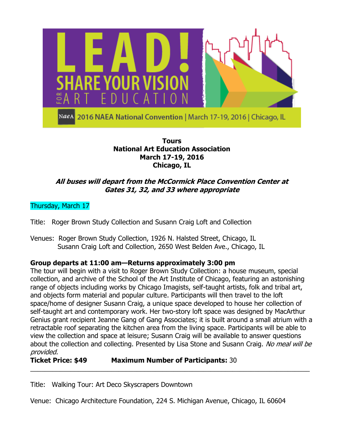

### **Tours National Art Education Association March 17-19, 2016 Chicago, IL**

# **All buses will depart from the McCormick Place Convention Center at Gates 31, 32, and 33 where appropriate**

# Thursday, March 17

Title: Roger Brown Study Collection and Susann Craig Loft and Collection

Venues: Roger Brown Study Collection, 1926 N. Halsted Street, Chicago, IL Susann Craig Loft and Collection, 2650 West Belden Ave., Chicago, IL

## **Group departs at 11:00 am—Returns approximately 3:00 pm**

The tour will begin with a visit to Roger Brown Study Collection: a house museum, special collection, and archive of the School of the Art Institute of Chicago, featuring an astonishing range of objects including works by Chicago Imagists, self-taught artists, folk and tribal art, and objects form material and popular culture. Participants will then travel to the loft space/home of designer Susann Craig, a unique space developed to house her collection of self-taught art and contemporary work. Her two-story loft space was designed by MacArthur Genius grant recipient Jeanne Gang of Gang Associates; it is built around a small atrium with a retractable roof separating the kitchen area from the living space. Participants will be able to view the collection and space at leisure; Susann Craig will be available to answer questions about the collection and collecting. Presented by Lisa Stone and Susann Craig. No meal will be provided.

\_\_\_\_\_\_\_\_\_\_\_\_\_\_\_\_\_\_\_\_\_\_\_\_\_\_\_\_\_\_\_\_\_\_\_\_\_\_\_\_\_\_\_\_\_\_\_\_\_\_\_\_\_\_\_\_\_\_\_\_\_\_\_\_\_\_\_\_\_\_\_\_\_\_\_\_

## **Ticket Price: \$49 Maximum Number of Participants:** 30

Title: Walking Tour: Art Deco Skyscrapers Downtown

Venue: Chicago Architecture Foundation, 224 S. Michigan Avenue, Chicago, IL 60604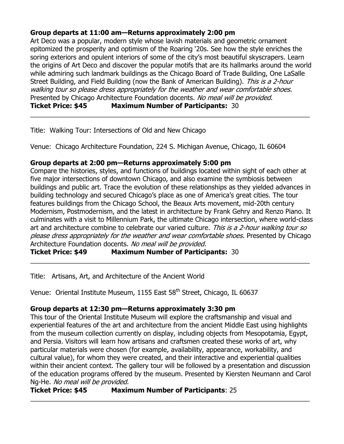## **Group departs at 11:00 am—Returns approximately 2:00 pm**

Art Deco was a popular, modern style whose lavish materials and geometric ornament epitomized the prosperity and optimism of the Roaring "20s. See how the style enriches the soring exteriors and opulent interiors of some of the city's most beautiful skyscrapers. Learn the origins of Art Deco and discover the popular motifs that are its hallmarks around the world while admiring such landmark buildings as the Chicago Board of Trade Building, One LaSalle Street Building, and Field Building (now the Bank of American Building). This is a 2-hour walking tour so please dress appropriately for the weather and wear comfortable shoes. Presented by Chicago Architecture Foundation docents. No meal will be provided.

\_\_\_\_\_\_\_\_\_\_\_\_\_\_\_\_\_\_\_\_\_\_\_\_\_\_\_\_\_\_\_\_\_\_\_\_\_\_\_\_\_\_\_\_\_\_\_\_\_\_\_\_\_\_\_\_\_\_\_\_\_\_\_\_\_\_\_\_\_\_\_\_\_\_\_\_

**Ticket Price: \$45 Maximum Number of Participants:** 30

Title: Walking Tour: Intersections of Old and New Chicago

Venue: Chicago Architecture Foundation, 224 S. Michigan Avenue, Chicago, IL 60604

### **Group departs at 2:00 pm—Returns approximately 5:00 pm**

Compare the histories, styles, and functions of buildings located within sight of each other at five major intersections of downtown Chicago, and also examine the symbiosis between buildings and public art. Trace the evolution of these relationships as they yielded advances in building technology and secured Chicago"s place as one of America"s great cities. The tour features buildings from the Chicago School, the Beaux Arts movement, mid-20th century Modernism, Postmodernism, and the latest in architecture by Frank Gehry and Renzo Piano. It culminates with a visit to Millennium Park, the ultimate Chicago intersection, where world-class art and architecture combine to celebrate our varied culture. This is a 2-hour walking tour so please dress appropriately for the weather and wear comfortable shoes. Presented by Chicago Architecture Foundation docents. No meal will be provided.

\_\_\_\_\_\_\_\_\_\_\_\_\_\_\_\_\_\_\_\_\_\_\_\_\_\_\_\_\_\_\_\_\_\_\_\_\_\_\_\_\_\_\_\_\_\_\_\_\_\_\_\_\_\_\_\_\_\_\_\_\_\_\_\_\_\_\_\_\_\_\_\_\_\_\_\_

**Ticket Price: \$49 Maximum Number of Participants:** 30

Title: Artisans, Art, and Architecture of the Ancient World

Venue: Oriental Institute Museum, 1155 East 58<sup>th</sup> Street, Chicago, IL 60637

## **Group departs at 12:30 pm—Returns approximately 3:30 pm**

This tour of the Oriental Institute Museum will explore the craftsmanship and visual and experiential features of the art and architecture from the ancient Middle East using highlights from the museum collection currently on display, including objects from Mesopotamia, Egypt, and Persia. Visitors will learn how artisans and craftsmen created these works of art, why particular materials were chosen (for example, availability, appearance, workability, and cultural value), for whom they were created, and their interactive and experiential qualities within their ancient context. The gallery tour will be followed by a presentation and discussion of the education programs offered by the museum. Presented by Kiersten Neumann and Carol Ng-He. No meal will be provided.

\_\_\_\_\_\_\_\_\_\_\_\_\_\_\_\_\_\_\_\_\_\_\_\_\_\_\_\_\_\_\_\_\_\_\_\_\_\_\_\_\_\_\_\_\_\_\_\_\_\_\_\_\_\_\_\_\_\_\_\_\_\_\_\_\_\_\_\_\_\_\_\_\_\_\_\_

```
Ticket Price: $45 Maximum Number of Participants: 25
```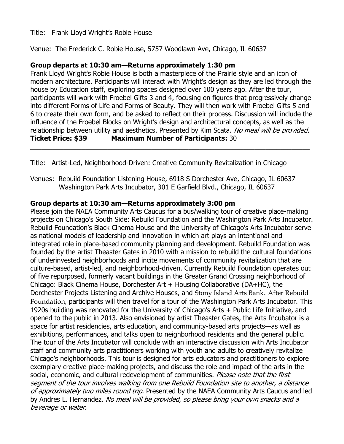### Title: Frank Lloyd Wright"s Robie House

Venue: The Frederick C. Robie House, 5757 Woodlawn Ave, Chicago, IL 60637

### **Group departs at 10:30 am—Returns approximately 1:30 pm**

Frank Lloyd Wright's Robie House is both a masterpiece of the Prairie style and an icon of modern architecture. Participants will interact with Wright's design as they are led through the house by Education staff, exploring spaces designed over 100 years ago. After the tour, participants will work with Froebel Gifts 3 and 4, focusing on figures that progressively change into different Forms of Life and Forms of Beauty. They will then work with Froebel Gifts 5 and 6 to create their own form, and be asked to reflect on their process. Discussion will include the influence of the Froebel Blocks on Wright"s design and architectural concepts, as well as the relationship between utility and aesthetics. Presented by Kim Scata. No meal will be provided. **Ticket Price: \$39 Maximum Number of Participants:** 30

\_\_\_\_\_\_\_\_\_\_\_\_\_\_\_\_\_\_\_\_\_\_\_\_\_\_\_\_\_\_\_\_\_\_\_\_\_\_\_\_\_\_\_\_\_\_\_\_\_\_\_\_\_\_\_\_\_\_\_\_\_\_\_\_\_\_\_\_\_\_\_\_\_\_\_\_

Title: Artist-Led, Neighborhood-Driven: Creative Community Revitalization in Chicago

Venues: Rebuild Foundation Listening House, 6918 S Dorchester Ave, Chicago, IL 60637 Washington Park Arts Incubator, 301 E Garfield Blvd., Chicago, IL 60637

### **Group departs at 10:30 am—Returns approximately 3:00 pm**

Please join the NAEA Community Arts Caucus for a bus/walking tour of creative place-making projects on Chicago"s South Side: Rebuild Foundation and the Washington Park Arts Incubator. Rebuild Foundation's Black Cinema House and the University of Chicago's Arts Incubator serve as national models of leadership and innovation in which art plays an intentional and integrated role in place-based community planning and development. Rebuild Foundation was founded by the artist Theaster Gates in 2010 with a mission to rebuild the cultural foundations of underinvested neighborhoods and incite movements of community revitalization that are culture-based, artist-led, and neighborhood-driven. Currently Rebuild Foundation operates out of five repurposed, formerly vacant buildings in the Greater Grand Crossing neighborhood of Chicago: Black Cinema House, Dorchester Art + Housing Collaborative (DA+HC), the Dorchester Projects Listening and Archive Houses, and Stony Island Arts Bank. After Rebuild Foundation, participants will then travel for a tour of the Washington Park Arts Incubator. This 1920s building was renovated for the University of Chicago"s Arts + Public Life Initiative, and opened to the public in 2013. Also envisioned by artist Theaster Gates, the Arts Incubator is a space for artist residencies, arts education, and community-based arts projects—as well as exhibitions, performances, and talks open to neighborhood residents and the general public. The tour of the Arts Incubator will conclude with an interactive discussion with Arts Incubator staff and community arts practitioners working with youth and adults to creatively revitalize Chicago"s neighborhoods. This tour is designed for arts educators and practitioners to explore exemplary creative place-making projects, and discuss the role and impact of the arts in the social, economic, and cultural redevelopment of communities. Please note that the first segment of the tour involves walking from one Rebuild Foundation site to another, a distance of approximately two miles round trip. Presented by the NAEA Community Arts Caucus and led by Andres L. Hernandez. No meal will be provided, so please bring your own snacks and a beverage or water.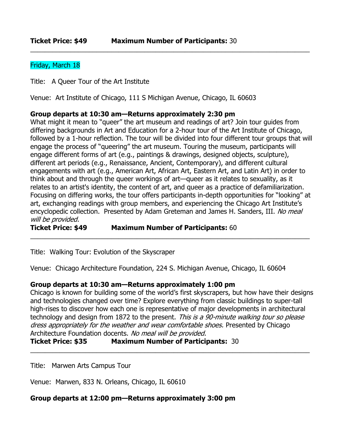### Friday, March 18

Title: A Queer Tour of the Art Institute

Venue: Art Institute of Chicago, 111 S Michigan Avenue, Chicago, IL 60603

#### **Group departs at 10:30 am—Returns approximately 2:30 pm**

What might it mean to "queer" the art museum and readings of art? Join tour guides from differing backgrounds in Art and Education for a 2-hour tour of the [Art Institute of Chicago,](http://www.artic.edu/) followed by a 1-hour reflection. The tour will be divided into four different tour groups that will engage the process of "queering" the art museum. Touring the museum, participants will engage different forms of art (e.g., paintings & drawings, designed objects, sculpture), different art periods (e.g., Renaissance, Ancient, Contemporary), and different cultural engagements with art (e.g., American Art, African Art, Eastern Art, and Latin Art) in order to think about and through the queer workings of art—queer as it relates to sexuality, as it relates to an artist's identity, the content of art, and queer as a practice of defamiliarization. Focusing on differing works, the tour offers participants in-depth opportunities for "looking" at art, exchanging readings with group members, and experiencing the Chicago Art Institute's encyclopedic collection. Presented by Adam Greteman and James H. Sanders, III. No meal will be provided.

\_\_\_\_\_\_\_\_\_\_\_\_\_\_\_\_\_\_\_\_\_\_\_\_\_\_\_\_\_\_\_\_\_\_\_\_\_\_\_\_\_\_\_\_\_\_\_\_\_\_\_\_\_\_\_\_\_\_\_\_\_\_\_\_\_\_\_\_\_\_\_\_\_\_\_\_

\_\_\_\_\_\_\_\_\_\_\_\_\_\_\_\_\_\_\_\_\_\_\_\_\_\_\_\_\_\_\_\_\_\_\_\_\_\_\_\_\_\_\_\_\_\_\_\_\_\_\_\_\_\_\_\_\_\_\_\_\_\_\_\_\_\_\_\_\_\_\_\_\_\_\_\_

**Ticket Price: \$49 Maximum Number of Participants:** 60

Title: Walking Tour: Evolution of the Skyscraper

Venue: Chicago Architecture Foundation, 224 S. Michigan Avenue, Chicago, IL 60604

#### **Group departs at 10:30 am—Returns approximately 1:00 pm**

Chicago is known for building some of the world"s first skyscrapers, but how have their designs and technologies changed over time? Explore everything from classic buildings to super-tall high-rises to discover how each one is representative of major developments in architectural technology and design from 1872 to the present. This is a 90-minute walking tour so please dress appropriately for the weather and wear comfortable shoes. Presented by Chicago Architecture Foundation docents. No meal will be provided.

\_\_\_\_\_\_\_\_\_\_\_\_\_\_\_\_\_\_\_\_\_\_\_\_\_\_\_\_\_\_\_\_\_\_\_\_\_\_\_\_\_\_\_\_\_\_\_\_\_\_\_\_\_\_\_\_\_\_\_\_\_\_\_\_\_\_\_\_\_\_\_\_\_\_\_\_

#### **Ticket Price: \$35 Maximum Number of Participants:** 30

Title: Marwen Arts Campus Tour

Venue: Marwen, 833 N. Orleans, Chicago, IL 60610

#### **Group departs at 12:00 pm—Returns approximately 3:00 pm**